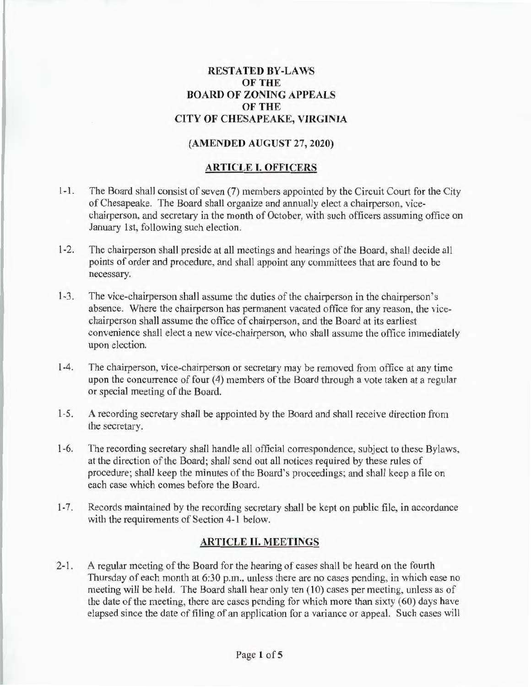# **RESTATED BY-LAWS OF THE BOARD OF ZONING APPEALS OF THE CITY OF CHESAPEAKE, VIRGINIA**

### **(AMENDED AUGUST** 27, **2020)**

#### **ARTICLE I. OFFICERS**

- 1-1. The Board shall consist of seven (7) members appointed by the Circuit Court for the City of Chesapeake. The Board shall organize and annually elect a chairperson, vicechairperson, and secretary in the month of October, with such officers assuming office on January 1st, following such election.
- 1-2. The chairperson shall preside at all meetings and hearings of the Board, shall decide all points of order and procedure, and shall appoint any committees that are found to be necessary.
- 1-3. The vice-chairperson shall assume the duties of the chairperson in the chairperson's absence. Where the chairperson has permanent vacated office for any reason, the vicechairperson shall assume the office of chairperson, and the Board at its earliest convenience shall elect a new vice-chairperson, who shall assume the office immediately upon election.
- 1-4. The chairperson, vice-chairperson or secretary may be removed from office at any time upon the concurrence of four (4) members of the Board through a vote taken at a regular or special meeting of the Board.
- 1-5. A recording secretary shall be appointed by the Board and shall receive direction from the secretary.
- 1-6. The recording secretary shall handle all official correspondence, subject to these Bylaws, at the direction of the Board; shall send out all notices required by these rules of procedure; shall keep the minutes of the Board's proceedings; and shall keep a file on each case which comes before the Board.
- 1-7. Records maintained by the recording secretary shall be kept on public file, in accordance with the requirements of Section 4-1 below.

# **ARTICLE II. MEETINGS**

2-1. A regular meeting of the Board for the hearing of cases shall be heard on the fourth Thursday of each month at 6:30 p.m., unless there are no cases pending, in which case no meeting will be held. The Board shall hear only ten (10) cases per meeting, unless as of the date of the meeting, there are cases pending for which more than sixty (60) days have elapsed since the date of filing of an application for a variance or appeal. Such cases will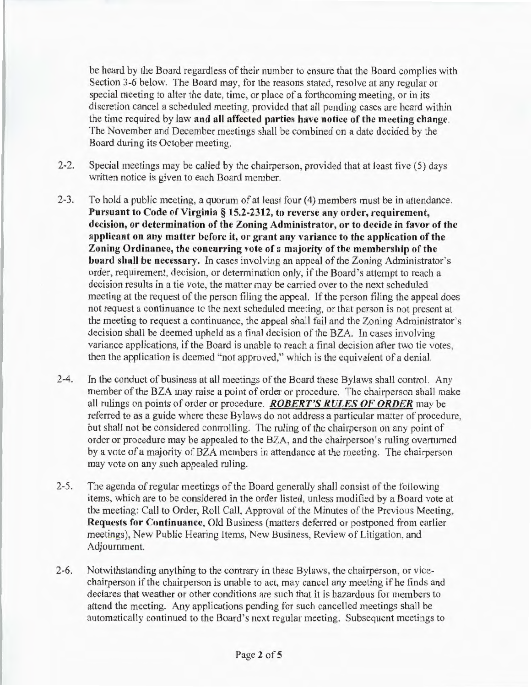be heard by the Board regardless of their number to ensure that the Board complies with Section 3-6 below. The Board may, for the reasons stated, resolve at any regular or special meeting to alter the date, time, or place of a forthcoming meeting, or in its discretion cancel a scheduled meeting, provided that all pending cases are heard within the time required by law and all affected parties have notice of the meeting change. The November and December meetings shall be combined on a date decided by the Board during its October meeting.

- 2-2. Special meetings may be called by the chairperson, provided that at least five (5) days written notice is given to each Board member.
- 2-3. To hold a public meeting, a quorum of at least four (4) members must be in attendance. Pursuant to Code of Virginia § 15.2-2312, to reverse any order, requirement, decision, or determination of the Zoning Administrator, or to decide in favor of the applicant on any matter before it, or grant any variance to the application of the Zoning Ordinance, the concurring vote of a majority of the membership of the board shall be necessary. In cases involving an appeal of the Zoning Administrator's order, requirement, decision, or determination only, if the Board's attempt to reach a decision results in a tie vote, the matter may be carried over to the next scheduled meeting at the request of the person filing the appeal. If the person filing the appeal does not request a continuance to the next scheduled meeting, or that person is not present at the meeting to request a continuance, the appeal shall fail and the Zoning Administrator's decision shall be deemed upheld as a final decision of the BZA. Jn cases involving variance applications, if the Board is unable to reach a final decision after two tie votes, then the application is deemed "not approved," which is the equivalent of a denial.
- 2-4. In the conduct of business at all meetings of the Board these Bylaws shall control. Any member of the BZA may raise a point of order or procedure. The chairperson shall make all rulings on points of order or procedure. *ROBERT'S RULES OF ORDER* may be referred to as a guide where these Bylaws do not address a particular matter of procedure, but shall not be considered controlling. The ruling of the chairperson on any point of order or procedure may be appealed to the BZA, and the chairperson's ruling overturned by a vote of a majority of BZA members in attendance at the meeting. The chairperson may vote on any such appealed ruling.
- 2-5. The agenda of regular meetings of the Board generally shall consist of the following items, which are to be considered in the order listed, unless modified by a Board vote at the meeting: Call to Order, Roll Call, Approval of the Minutes of the Previous Meeting, Requests for Continuance, Old Business (matters deferred or postponed from earlier meetings), New Public Hearing Items, New Business, Review of Litigation, and Adjournment.
- 2-6. Notwithstanding anything to the contrary in these Bylaws, the chairperson, or vicechairperson if the chairperson is unable to act, may cancel any meeting if he finds and declares that weather or other conditions are such that it is hazardous for members to attend the meeting. Any applications pending for such cancelled meetings shall be automatically continued to the Board's next regular meeting. Subsequent meetings to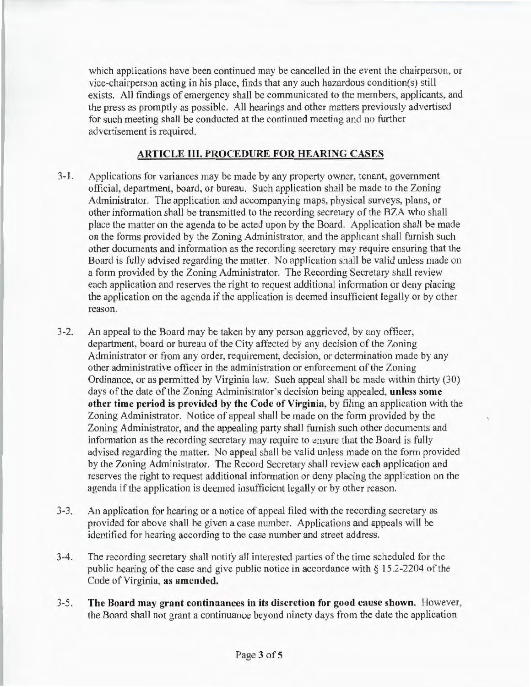which applications have been continued may be cancelled in the event the chairperson, or vice-chairperson acting in his place, finds that any such hazardous condition(s) still exists. All findings of emergency shall be communicated to the members, applicants, and the press as promptly as possible. All hearings and other matters previously advertised for such meeting shall be conducted at the continued meeting and no further advertisement is required.

# ARTICLE III. PROCEDURE FOR HEARING CASES

- 3-1. Applications for variances may be made by any property owner, tenant, government official, department, board, or bureau. Such application shall be made to the Zoning Administrator. The application and accompanying maps, physical surveys, plans, or other information shall be transmitted to the recording secretary of the BZA who shall place the matter on the agenda to be acted upon by the Board. Application shall be made on the forms provided by the Zoning Administrator, and the applicant shall furnjsh such other documents and information as the recording secretary may require ensuring that the Board is fully advised regarding the matter. No application shall be valid unless made on a form provided by the Zoning Administrator. The Recording Secretary shall review each application and reserves the right to request additional information or deny placing the application on the agenda if the application is deemed insufficient legally or by other reason.
- 3-2. An appeal to the Board may be taken by any person aggrieved, by any officer, department, board or bureau of the City affected by any decision of the Zoning Administrator or from any order, requirement, decision, or determination made by any other administrative officer in the administration or enforcement of the Zoning Ordinance, or as permitted by Virginia law. Such appeal shall be made within thirty (30) days of the date of the Zoning Administrator's decision being appealed, **unless some** other time period is provided by the Code of Virginia, by filing an application with the Zoning Administrator. Notice of appeal shall be made on the form provided by the Zoning Administrator, and the appealing party shall furnish such other documents and information as the recording secretary may require to ensure that the Board is fully advised regarding the matter. No appeal shall be valid unless made on the form provided by the Zoning Administrator. The Record Secretary shall review each application and reserves the right to request additional information or deny placing the application on the agenda if the application is deemed insufficient legally or by other reason.
- 3-3. An application for hearing or a notice of appeal filed with the recording secretary as provided for above shall be given a case number. Applications and appeals will be identified for hearing according to the case number and street address.
- 3-4. The recording secretary shall notify all interested parties of the time scheduled for the public hearing of the case and give public notice in accordance with § 15 .2-2204 of the Code of Virginia, as amended.
- 3-5. The Board may grant continuances in its discretion for good cause shown. However, the Board shall not grant a continuance beyond ninety days from the date the application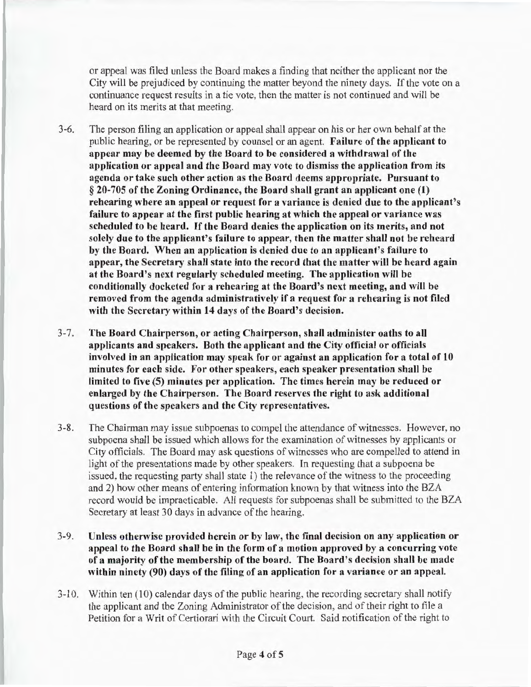or appeal was filed unless the Board makes a finding that neither the applicant nor the City will be prejudiced by continuing the matter beyond the ninety days. If the vote on a continuance request results in a tie vote, then the matter is not continued and will be heard on its merits at that meeting.

- 3-6. The person filing an application or appeal shall appear on his or her own behalf at the public hearing, or be represented by counsel or an agent. Failure of the applicant to appear may be deemed by the Board to be considered a withdrawal of the application or appeal and the Board may vote to dismiss the application from its agenda or take such other action as the Board deems appropriate. Pursuant to § 20-705 of the Zoning Ordinance, the Board shall grant an applicant one (1) rehearing where an appeal or request for a variance is denied due to the applicant's failure to appear at the first public hearing at which the appeal or variance was scheduled to be heard. If the Board denies the application on its merits, and not solely due to the applicant's failure to appear, then the matter shall not be reheard by the Board. When an application is denied due to an applicant's failure to appear, the Secretary shall state into the record that the matter will be heard again at the Board's next regularly scheduled meeting. The application will be conditionally docketed for a rehearing at the Board's next meeting, and will be removed from the agenda administratively if a request for a rehearing is not filed with the Secretary within 14 days of the Board's decision.
- 3-7. The Board Chairperson, or acting Chairperson, shall administer oaths to all applicants and speakers. Both the applicant and the City official or officials involved in an application may speak for or against an application for a total of 10 minutes for each side. For other speakers, each speaker presentation shall be limited to five (5) minutes per application. The times herein may be reduced or enlarged by the Chairperson. The Board reserves the right to ask additional questions of the speakers and the City representatives.
- 3-8. The Chairman may issue subpoenas to compel the attendance of witnesses. However, no subpoena shall be issued which allows for the examination of witnesses by applicants or City officials. The Board may ask questions of witnesses who are compelled to attend in light of the presentations made by other speakers. In requesting that a subpoena be issued, the requesting party shall state 1) the relevance of the witness to the proceeding and 2) how other means of entering information known by that witness into the BZA record would be impracticable. All requests for subpoenas shall be submitted to the BZA Secretary at least 30 days in advance of the hearing.
- 3-9. Unless otbenvise provided herein or by law, the final decision on any application or appeal to the Board shall be in the form of a motion approved by a concurring vote of a majority of the membership of the board. The Board's decision shall be made within ninety (90) days of the filing of an application for a variance or an appeal.
- 3-10. Within ten (10) calendar days of the public hearing, the recording secretary shall notify the applicant and the Zoning Administrator of the decision, and of their right to file a Petition for a Writ of Certiorari with the Circuit Court. Said notification of the right to